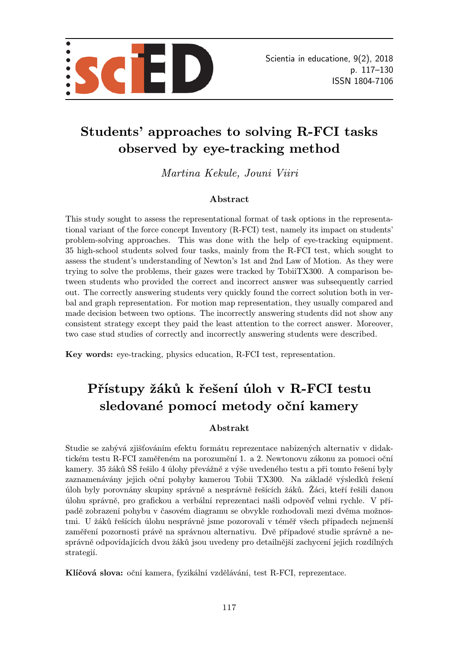

# Students' approaches to solving R-FCI tasks observed by eye-tracking method

Martina Kekule, Jouni Viiri

#### Abstract

This study sought to assess the representational format of task options in the representational variant of the force concept Inventory (R-FCI) test, namely its impact on students' problem-solving approaches. This was done with the help of eye-tracking equipment. 35 high-school students solved four tasks, mainly from the R-FCI test, which sought to assess the student's understanding of Newton's 1st and 2nd Law of Motion. As they were trying to solve the problems, their gazes were tracked by TobiiTX300. A comparison between students who provided the correct and incorrect answer was subsequently carried out. The correctly answering students very quickly found the correct solution both in verbal and graph representation. For motion map representation, they usually compared and made decision between two options. The incorrectly answering students did not show any consistent strategy except they paid the least attention to the correct answer. Moreover, two case stud studies of correctly and incorrectly answering students were described.

Key words: eye-tracking, physics education, R-FCI test, representation.

# Přístupy žáků k řešení úloh v R-FCI testu sledované pomocí metody oční kamery

#### Abstrakt

Studie se zabývá zjišťováním efektu formátu reprezentace nabízených alternativ v didaktickém testu R-FCI zaměřeném na porozumění 1. a 2. Newtonovu zákonu za pomoci oční kamery. 35 žáků SŠ řešilo 4 úlohy převážně z výše uvedeného testu a při tomto řešení byly zaznamenávány jejich oční pohyby kamerou Tobii TX300. Na základě výsledků řešení úloh byly porovnány skupiny správně a nesprávně řešících žáků. Žáci, kteří řešili danou úlohu správně, pro grafickou a verbální reprezentaci našli odpověď velmi rychle. V případě zobrazení pohybu v časovém diagramu se obvykle rozhodovali mezi dvěma možnostmi. U žáků řešících úlohu nesprávně jsme pozorovali v téměř všech případech nejmenší zaměření pozornosti právě na správnou alternativu. Dvě případové studie správně a nesprávně odpovídajících dvou žáků jsou uvedeny pro detailnější zachycení jejich rozdílných strategií.

Klíčová slova: oční kamera, fyzikální vzdělávání, test R-FCI, reprezentace.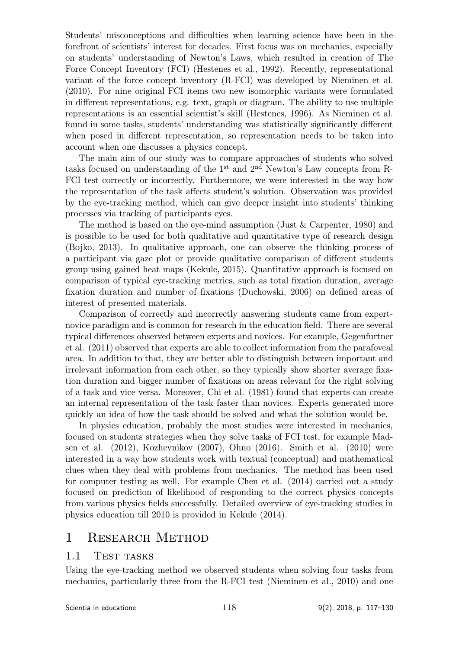Students' misconceptions and difficulties when learning science have been in the forefront of scientists' interest for decades. First focus was on mechanics, especially on students' understanding of Newton's Laws, which resulted in creation of The Force Concept Inventory (FCI) (Hestenes et al., 1992). Recently, representational variant of the force concept inventory (R-FCI) was developed by Nieminen et al. (2010). For nine original FCI items two new isomorphic variants were formulated in different representations, e.g. text, graph or diagram. The ability to use multiple representations is an essential scientist's skill (Hestenes, 1996). As Nieminen et al. found in some tasks, students' understanding was statistically significantly different when posed in different representation, so representation needs to be taken into account when one discusses a physics concept.

The main aim of our study was to compare approaches of students who solved tasks focused on understanding of the  $1<sup>st</sup>$  and  $2<sup>nd</sup>$  Newton's Law concepts from R-FCI test correctly or incorrectly. Furthermore, we were interested in the way how the representation of the task affects student's solution. Observation was provided by the eye-tracking method, which can give deeper insight into students' thinking processes via tracking of participants eyes.

The method is based on the eye-mind assumption (Just & Carpenter, 1980) and is possible to be used for both qualitative and quantitative type of research design (Bojko, 2013). In qualitative approach, one can observe the thinking process of a participant via gaze plot or provide qualitative comparison of different students group using gained heat maps (Kekule, 2015). Quantitative approach is focused on comparison of typical eye-tracking metrics, such as total fixation duration, average fixation duration and number of fixations (Duchowski, 2006) on defined areas of interest of presented materials.

Comparison of correctly and incorrectly answering students came from expertnovice paradigm and is common for research in the education field. There are several typical differences observed between experts and novices. For example, Gegenfurtner et al. (2011) observed that experts are able to collect information from the parafoveal area. In addition to that, they are better able to distinguish between important and irrelevant information from each other, so they typically show shorter average fixation duration and bigger number of fixations on areas relevant for the right solving of a task and vice versa. Moreover, Chi et al. (1981) found that experts can create an internal representation of the task faster than novices. Experts generated more quickly an idea of how the task should be solved and what the solution would be.

In physics education, probably the most studies were interested in mechanics, focused on students strategies when they solve tasks of FCI test, for example Madsen et al. (2012), Kozhevnikov (2007), Ohno (2016). Smith et al. (2010) were interested in a way how students work with textual (conceptual) and mathematical clues when they deal with problems from mechanics. The method has been used for computer testing as well. For example Chen et al. (2014) carried out a study focused on prediction of likelihood of responding to the correct physics concepts from various physics fields successfully. Detailed overview of eye-tracking studies in physics education till 2010 is provided in Kekule (2014).

# 1 Research Method

## 1.1 TEST TASKS

Using the eye-tracking method we observed students when solving four tasks from mechanics, particularly three from the R-FCI test (Nieminen et al., 2010) and one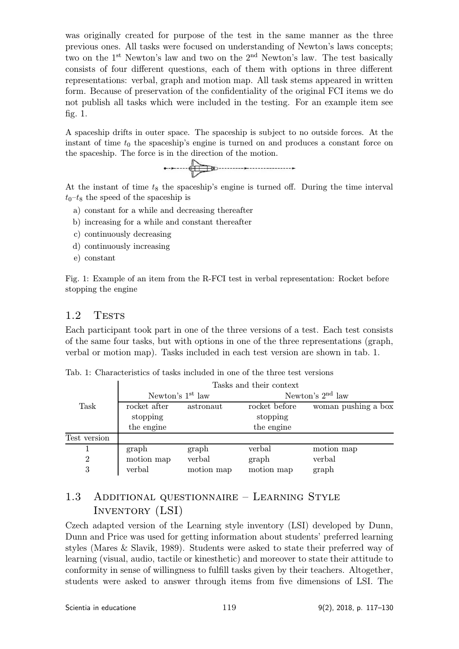was originally created for purpose of the test in the same manner as the three previous ones. All tasks were focused on understanding of Newton's laws concepts; two on the 1st Newton's law and two on the 2nd Newton's law. The test basically consists of four different questions, each of them with options in three different representations: verbal, graph and motion map. All task stems appeared in written form. Because of preservation of the confidentiality of the original FCI items we do not publish all tasks which were included in the testing. For an example item see fig. 1.

A spaceship drifts in outer space. The spaceship is subject to no outside forces. At the instant of time  $t_0$  the spaceship's engine is turned on and produces a constant force on the spaceship. The force is in the direction of the motion.



At the instant of time  $t_8$  the spaceship's engine is turned off. During the time interval  $t_0$ – $t_8$  the speed of the spaceship is

- a) constant for a while and decreasing thereafter
- b) increasing for a while and constant thereafter
- c) continuously decreasing
- d) continuously increasing
- e) constant

Fig. 1: Example of an item from the R-FCI test in verbal representation: Rocket before stopping the engine

#### 1.2 TESTS

Each participant took part in one of the three versions of a test. Each test consists of the same four tasks, but with options in one of the three representations (graph, verbal or motion map). Tasks included in each test version are shown in tab. 1.

| Tab. 1: Characteristics of tasks included in one of the three test versions |  |
|-----------------------------------------------------------------------------|--|
|-----------------------------------------------------------------------------|--|

|              | Tasks and their context   |                              |                    |                     |  |  |  |
|--------------|---------------------------|------------------------------|--------------------|---------------------|--|--|--|
|              |                           | Newton's 1 <sup>st</sup> law | Newton's $2nd$ law |                     |  |  |  |
| Task         | rocket after<br>astronaut |                              | rocket before      | woman pushing a box |  |  |  |
|              | stopping                  |                              | stopping           |                     |  |  |  |
|              | the engine                |                              | the engine         |                     |  |  |  |
| Test version |                           |                              |                    |                     |  |  |  |
|              | graph                     | graph                        | verbal             | motion map          |  |  |  |
| 2            | motion map                | verbal                       | graph              | verbal              |  |  |  |
| 3            | verbal                    | motion map                   | motion map         | graph               |  |  |  |

# 1.3 Additional questionnaire – Learning Style Inventory (LSI)

Czech adapted version of the Learning style inventory (LSI) developed by Dunn, Dunn and Price was used for getting information about students' preferred learning styles (Mares & Slavik, 1989). Students were asked to state their preferred way of learning (visual, audio, tactile or kinesthetic) and moreover to state their attitude to conformity in sense of willingness to fulfill tasks given by their teachers. Altogether, students were asked to answer through items from five dimensions of LSI. The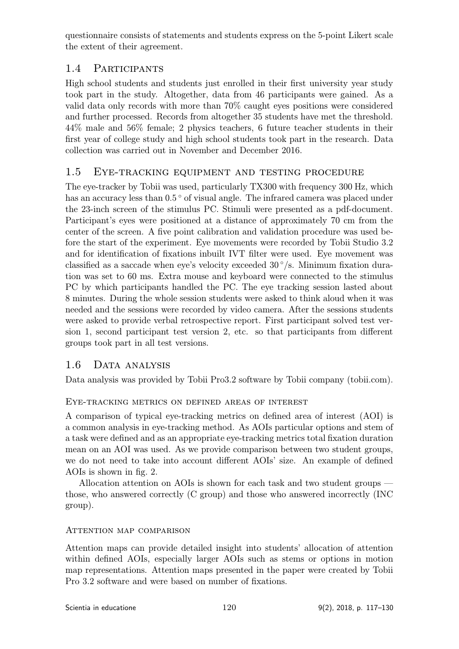questionnaire consists of statements and students express on the 5-point Likert scale the extent of their agreement.

# 1.4 Participants

High school students and students just enrolled in their first university year study took part in the study. Altogether, data from 46 participants were gained. As a valid data only records with more than 70% caught eyes positions were considered and further processed. Records from altogether 35 students have met the threshold. 44% male and 56% female; 2 physics teachers, 6 future teacher students in their first year of college study and high school students took part in the research. Data collection was carried out in November and December 2016.

# 1.5 Eye-tracking equipment and testing procedure

The eye-tracker by Tobii was used, particularly TX300 with frequency 300 Hz, which has an accuracy less than  $0.5^{\circ}$  of visual angle. The infrared camera was placed under the 23-inch screen of the stimulus PC. Stimuli were presented as a pdf-document. Participant's eyes were positioned at a distance of approximately 70 cm from the center of the screen. A five point calibration and validation procedure was used before the start of the experiment. Eye movements were recorded by Tobii Studio 3.2 and for identification of fixations inbuilt IVT filter were used. Eye movement was classified as a saccade when eye's velocity exceeded  $30^{\circ}/s$ . Minimum fixation duration was set to 60 ms. Extra mouse and keyboard were connected to the stimulus PC by which participants handled the PC. The eye tracking session lasted about 8 minutes. During the whole session students were asked to think aloud when it was needed and the sessions were recorded by video camera. After the sessions students were asked to provide verbal retrospective report. First participant solved test version 1, second participant test version 2, etc. so that participants from different groups took part in all test versions.

# 1.6 Data analysis

Data analysis was provided by Tobii Pro3.2 software by Tobii company (tobii.com).

## Eye-tracking metrics on defined areas of interest

A comparison of typical eye-tracking metrics on defined area of interest (AOI) is a common analysis in eye-tracking method. As AOIs particular options and stem of a task were defined and as an appropriate eye-tracking metrics total fixation duration mean on an AOI was used. As we provide comparison between two student groups, we do not need to take into account different AOIs' size. An example of defined AOIs is shown in fig. 2.

Allocation attention on AOIs is shown for each task and two student groups those, who answered correctly (C group) and those who answered incorrectly (INC group).

## Attention map comparison

Attention maps can provide detailed insight into students' allocation of attention within defined AOIs, especially larger AOIs such as stems or options in motion map representations. Attention maps presented in the paper were created by Tobii Pro 3.2 software and were based on number of fixations.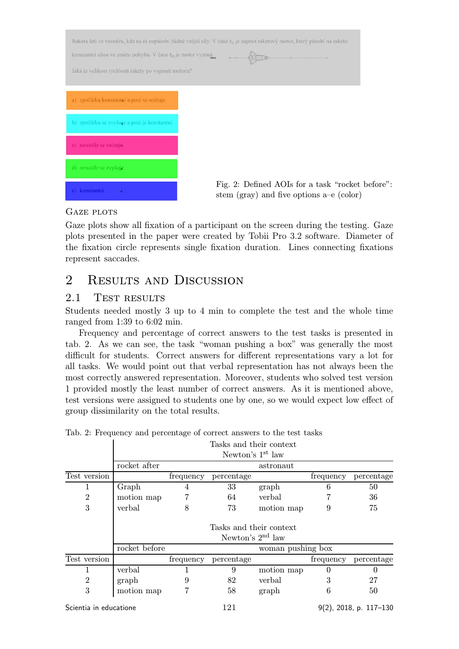| konstantní silou ve směru pohybu. V čase ta je motor vypnut<br>Jaká je velikost rychlosti rakety po vypnutí motoru? | Raketa letí ve vesmíru, kde na ni nepůsobí žádné vnější síly. V čase t <sub>o</sub> je zapnut raketový motor, který působí na raketu |
|---------------------------------------------------------------------------------------------------------------------|--------------------------------------------------------------------------------------------------------------------------------------|
| a) zpočátku konstantní a poté se snižuje.                                                                           |                                                                                                                                      |
| b) zpočátku se zvyšuje a poté je konstantní.                                                                        |                                                                                                                                      |
| c) neustále se snižuja.                                                                                             |                                                                                                                                      |
| d) neustale se zvyšuje.                                                                                             |                                                                                                                                      |
| e) konstantni.                                                                                                      | Fig. 2: Defined AOIs for a task "rocket before":<br>stem (gray) and five options $a-e$ (color)                                       |

#### GAZE PLOTS

Gaze plots show all fixation of a participant on the screen during the testing. Gaze plots presented in the paper were created by Tobii Pro 3.2 software. Diameter of the fixation circle represents single fixation duration. Lines connecting fixations represent saccades.

# 2 RESULTS AND DISCUSSION

#### 2.1 TEST RESULTS

Students needed mostly 3 up to 4 min to complete the test and the whole time ranged from 1:39 to 6:02 min.

Frequency and percentage of correct answers to the test tasks is presented in tab. 2. As we can see, the task "woman pushing a box" was generally the most difficult for students. Correct answers for different representations vary a lot for all tasks. We would point out that verbal representation has not always been the most correctly answered representation. Moreover, students who solved test version 1 provided mostly the least number of correct answers. As it is mentioned above, test versions were assigned to students one by one, so we would expect low effect of group dissimilarity on the total results.

|                        |                         |                   | Tasks and their context |            |           |                           |  |
|------------------------|-------------------------|-------------------|-------------------------|------------|-----------|---------------------------|--|
|                        |                         |                   | Newton's $1st$ law      |            |           |                           |  |
|                        | rocket after            |                   |                         | astronaut  |           |                           |  |
| Test version           |                         | frequency         | percentage              |            | frequency | percentage                |  |
| 1                      | Graph                   | 4                 | 33                      | graph      | 6         | 50                        |  |
| 2                      | motion map              |                   | 64                      | verbal     |           | 36                        |  |
| 3                      | verbal                  | 8                 | 73                      | motion map | 9         | 75                        |  |
|                        | Tasks and their context |                   |                         |            |           |                           |  |
|                        | Newton's $2nd$ law      |                   |                         |            |           |                           |  |
|                        | rocket before           | woman pushing box |                         |            |           |                           |  |
| Test version           |                         | frequency         | percentage              |            | frequency | percentage                |  |
|                        | verbal                  |                   | 9                       | motion map |           |                           |  |
| $\overline{2}$         | graph                   |                   | 82                      | verbal     |           | 27                        |  |
| 3                      | motion map              | 7                 | 58                      | graph      | 6         | 50                        |  |
| Scientia in educatione |                         |                   | 121                     |            |           | $9(2)$ , 2018, p. 117-130 |  |

Tab. 2: Frequency and percentage of correct answers to the test tasks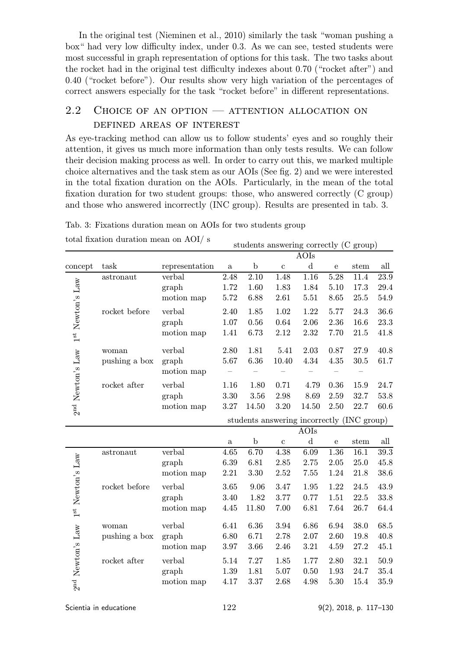In the original test (Nieminen et al., 2010) similarly the task "woman pushing a box" had very low difficulty index, under 0.3. As we can see, tested students were most successful in graph representation of options for this task. The two tasks about the rocket had in the original test difficulty indexes about 0.70 ("rocket after") and 0.40 ("rocket before"). Our results show very high variation of the percentages of correct answers especially for the task "rocket before" in different representations.

# 2.2 CHOICE OF AN OPTION  $-$  ATTENTION ALLOCATION ON defined areas of interest

As eye-tracking method can allow us to follow students' eyes and so roughly their attention, it gives us much more information than only tests results. We can follow their decision making process as well. In order to carry out this, we marked multiple choice alternatives and the task stem as our AOIs (See fig. 2) and we were interested in the total fixation duration on the AOIs. Particularly, in the mean of the total fixation duration for two student groups: those, who answered correctly (C group) and those who answered incorrectly (INC group). Results are presented in tab. 3.

Tab. 3: Fixations duration mean on AOIs for two students group

|                               |               |                |                                            |             |              | AOIs        |              |      |                   |
|-------------------------------|---------------|----------------|--------------------------------------------|-------------|--------------|-------------|--------------|------|-------------------|
| concept                       | task          | representation | $\mathbf{a}$                               | $\mathbf b$ | $\mathbf{c}$ | $\mathbf d$ | ${\bf e}$    | stem | all               |
|                               | astronaut     | verbal         | 2.48                                       | 2.10        | 1.48         | 1.16        | 5.28         | 11.4 | 23.9              |
|                               |               | graph          | 1.72                                       | 1.60        | 1.83         | 1.84        | $5.10\,$     | 17.3 | 29.4              |
|                               |               | motion map     | 5.72                                       | 6.88        | 2.61         | 5.51        | 8.65         | 25.5 | 54.9              |
|                               | rocket before | verbal         | 2.40                                       | 1.85        | 1.02         | 1.22        | 5.77         | 24.3 | 36.6              |
|                               |               | graph          | 1.07                                       | 0.56        | 0.64         | 2.06        | 2.36         | 16.6 | 23.3              |
| $1^{st}$ Newton's ${\rm Law}$ |               | motion map     | 1.41                                       | 6.73        | 2.12         | 2.32        | 7.70         | 21.5 | 41.8              |
|                               | woman         | verbal         | 2.80                                       | 1.81        | 5.41         | 2.03        | 0.87         | 27.9 | 40.8              |
|                               | pushing a box | graph          | 5.67                                       | 6.36        | 10.40        | 4.34        | 4.35         | 30.5 | 61.7              |
| 2 <sup>nd</sup> Newton's Law  |               | motion map     |                                            |             |              |             |              |      |                   |
|                               | rocket after  | verbal         | 1.16                                       | 1.80        | 0.71         | 4.79        | 0.36         | 15.9 | 24.7              |
|                               |               | graph          | 3.30                                       | 3.56        | 2.98         | 8.69        | $2.59\,$     | 32.7 | 53.8              |
|                               |               | motion map     | 3.27                                       | 14.50       | 3.20         | 14.50       | 2.50         | 22.7 | 60.6              |
|                               |               |                | students answering incorrectly (INC group) |             |              |             |              |      |                   |
|                               |               |                |                                            |             |              | AOIs        |              |      |                   |
|                               |               |                | $\mathbf{a}$                               | $\mathbf b$ | $\mathbf c$  | $\mathbf d$ | $\mathbf{e}$ | stem | all               |
|                               | astronaut     | verbal         | 4.65                                       | 6.70        | 4.38         | 6.09        | 1.36         | 16.1 | $\overline{39.3}$ |
|                               |               | graph          | 6.39                                       | 6.81        | 2.85         | 2.75        | 2.05         | 25.0 | 45.8              |
|                               |               | motion map     | 2.21                                       | 3.30        | 2.52         | 7.55        | 1.24         | 21.8 | 38.6              |
|                               | rocket before | verbal         | 3.65                                       | 9.06        | 3.47         | 1.95        | 1.22         | 24.5 | 43.9              |
|                               |               | graph          | 3.40                                       | 1.82        | 3.77         | 0.77        | 1.51         | 22.5 | 33.8              |
| $1^{st}$ Newton's ${\rm Law}$ |               | motion map     | 4.45                                       | 11.80       | 7.00         | 6.81        | 7.64         | 26.7 | 64.4              |
| 2 <sup>nd</sup> Newton's Law  | woman         | verbal         | 6.41                                       | 6.36        | 3.94         | 6.86        | 6.94         | 38.0 | 68.5              |
|                               | pushing a box | graph          | 6.80                                       | 6.71        | 2.78         | 2.07        | 2.60         | 19.8 | 40.8              |
|                               |               | motion map     | 3.97                                       | 3.66        | 2.46         | 3.21        | 4.59         | 27.2 | 45.1              |
|                               | rocket after  | verbal         | 5.14                                       | 7.27        | 1.85         | 1.77        | 2.80         | 32.1 | 50.9              |
|                               |               | graph          | 1.39                                       | 1.81        | 5.07         | 0.50        | 1.93         | 24.7 | 35.4              |
|                               |               | motion map     | 4.17                                       | 3.37        | 2.68         | 4.98        | 5.30         | 15.4 | 35.9              |
|                               |               |                |                                            |             |              |             |              |      |                   |

total fixation duration mean on  $AOI/ s$  students answering correctly  $(C \text{ group})$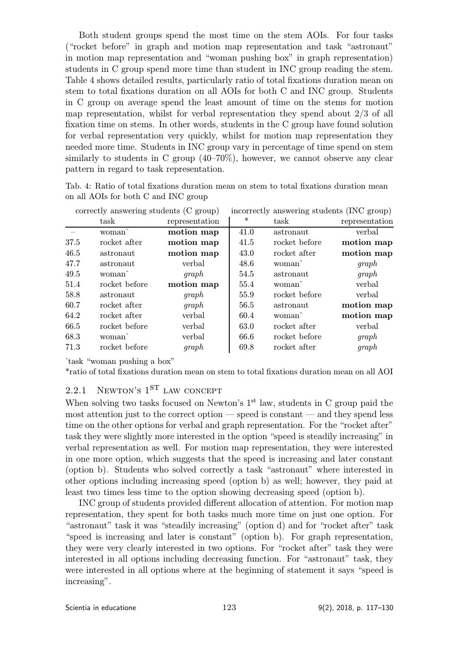Both student groups spend the most time on the stem AOIs. For four tasks ("rocket before" in graph and motion map representation and task "astronaut" in motion map representation and "woman pushing box" in graph representation) students in C group spend more time than student in INC group reading the stem. Table 4 shows detailed results, particularly ratio of total fixations duration mean on stem to total fixations duration on all AOIs for both C and INC group. Students in C group on average spend the least amount of time on the stems for motion map representation, whilst for verbal representation they spend about 2/3 of all fixation time on stems. In other words, students in the C group have found solution for verbal representation very quickly, whilst for motion map representation they needed more time. Students in INC group vary in percentage of time spend on stem similarly to students in C group (40–70%), however, we cannot observe any clear pattern in regard to task representation.

Tab. 4: Ratio of total fixations duration mean on stem to total fixations duration mean on all AOIs for both C and INC group

| correctly answering students (C group) |                    |                |        | incorrectly answering students (INC group) |                |
|----------------------------------------|--------------------|----------------|--------|--------------------------------------------|----------------|
|                                        | task               | representation | $\ast$ | task                                       | representation |
|                                        | woman <sup>^</sup> | motion map     | 41.0   | astronaut                                  | verbal         |
| 37.5                                   | rocket after       | motion map     | 41.5   | rocket before                              | motion map     |
| 46.5                                   | astronaut          | motion map     | 43.0   | rocket after                               | motion map     |
| 47.7                                   | astronaut          | verbal         | 48.6   | woman                                      | graph          |
| 49.5                                   | woman <sup>^</sup> | graph          | 54.5   | astronaut                                  | graph          |
| 51.4                                   | rocket before      | motion map     | 55.4   | woman <sup>^</sup>                         | verbal         |
| 58.8                                   | astronaut          | graph          | 55.9   | rocket before                              | verbal         |
| 60.7                                   | rocket after       | graph          | 56.5   | astronaut                                  | motion map     |
| 64.2                                   | rocket after       | verbal         | 60.4   | woman <sup>2</sup>                         | motion map     |
| 66.5                                   | rocket before      | verbal         | 63.0   | rocket after                               | verbal         |
| 68.3                                   | woman <sup>^</sup> | verbal         | 66.6   | rocket before                              | graph          |
| 71.3                                   | rocket before      | graph          | 69.8   | rocket after                               | graph          |
|                                        |                    |                |        |                                            |                |

ˆtask "woman pushing a box"

\*ratio of total fixations duration mean on stem to total fixations duration mean on all AOI

# 2.2.1 NEWTON'S  $1<sup>ST</sup>$  LAW CONCEPT

When solving two tasks focused on Newton's  $1<sup>st</sup>$  law, students in C group paid the most attention just to the correct option — speed is constant — and they spend less time on the other options for verbal and graph representation. For the "rocket after" task they were slightly more interested in the option "speed is steadily increasing" in verbal representation as well. For motion map representation, they were interested in one more option, which suggests that the speed is increasing and later constant (option b). Students who solved correctly a task "astronaut" where interested in other options including increasing speed (option b) as well; however, they paid at least two times less time to the option showing decreasing speed (option b).

INC group of students provided different allocation of attention. For motion map representation, they spent for both tasks much more time on just one option. For "astronaut" task it was "steadily increasing" (option d) and for "rocket after" task "speed is increasing and later is constant" (option b). For graph representation, they were very clearly interested in two options. For "rocket after" task they were interested in all options including decreasing function. For "astronaut" task, they were interested in all options where at the beginning of statement it says "speed is increasing".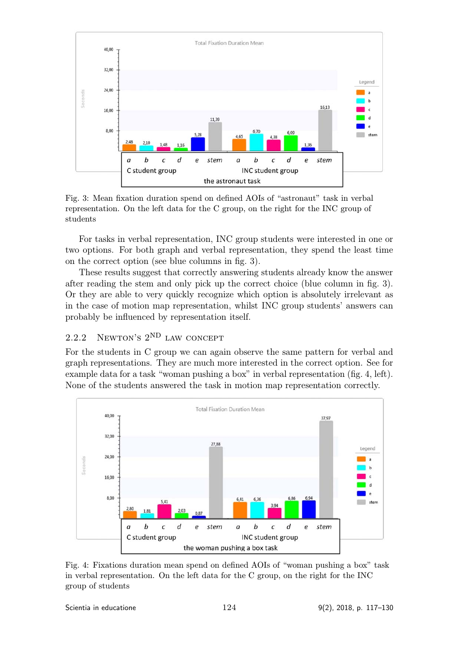

Fig. 3: Mean fixation duration spend on defined AOIs of "astronaut" task in verbal representation. On the left data for the C group, on the right for the INC group of students

For tasks in verbal representation, INC group students were interested in one or two options. For both graph and verbal representation, they spend the least time on the correct option (see blue columns in fig. 3).

These results suggest that correctly answering students already know the answer after reading the stem and only pick up the correct choice (blue column in fig. 3). Or they are able to very quickly recognize which option is absolutely irrelevant as in the case of motion map representation, whilst INC group students' answers can probably be influenced by representation itself.

# $2.2.2$  Newton's  $2^{ND}$  LAW CONCEPT

For the students in C group we can again observe the same pattern for verbal and graph representations. They are much more interested in the correct option. See for example data for a task "woman pushing a box" in verbal representation (fig. 4, left). None of the students answered the task in motion map representation correctly.



Fig. 4: Fixations duration mean spend on defined AOIs of "woman pushing a box" task in verbal representation. On the left data for the C group, on the right for the INC group of students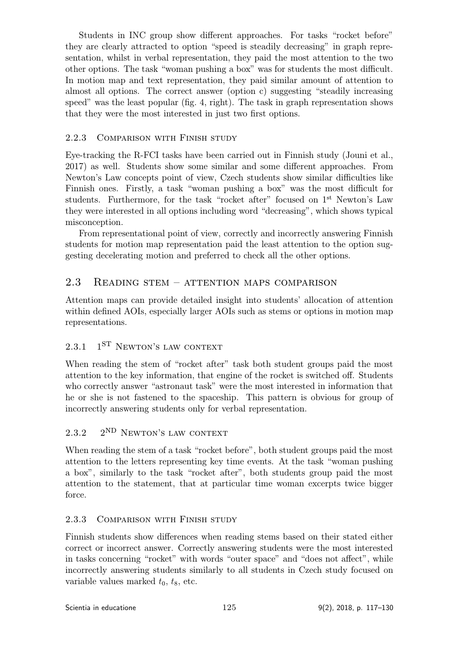Students in INC group show different approaches. For tasks "rocket before" they are clearly attracted to option "speed is steadily decreasing" in graph representation, whilst in verbal representation, they paid the most attention to the two other options. The task "woman pushing a box" was for students the most difficult. In motion map and text representation, they paid similar amount of attention to almost all options. The correct answer (option c) suggesting "steadily increasing speed" was the least popular (fig. 4, right). The task in graph representation shows that they were the most interested in just two first options.

#### 2.2.3 Comparison with Finish study

Eye-tracking the R-FCI tasks have been carried out in Finnish study (Jouni et al., 2017) as well. Students show some similar and some different approaches. From Newton's Law concepts point of view, Czech students show similar difficulties like Finnish ones. Firstly, a task "woman pushing a box" was the most difficult for students. Furthermore, for the task "rocket after" focused on 1<sup>st</sup> Newton's Law they were interested in all options including word "decreasing", which shows typical misconception.

From representational point of view, correctly and incorrectly answering Finnish students for motion map representation paid the least attention to the option suggesting decelerating motion and preferred to check all the other options.

#### 2.3 Reading stem – attention maps comparison

Attention maps can provide detailed insight into students' allocation of attention within defined AOIs, especially larger AOIs such as stems or options in motion map representations.

# $2.3.1$  1<sup>ST</sup> NEWTON'S LAW CONTEXT

When reading the stem of "rocket after" task both student groups paid the most attention to the key information, that engine of the rocket is switched off. Students who correctly answer "astronaut task" were the most interested in information that he or she is not fastened to the spaceship. This pattern is obvious for group of incorrectly answering students only for verbal representation.

#### $2.3.2$   $2^{ND}$  Newton's law context

When reading the stem of a task "rocket before", both student groups paid the most attention to the letters representing key time events. At the task "woman pushing a box", similarly to the task "rocket after", both students group paid the most attention to the statement, that at particular time woman excerpts twice bigger force.

#### 2.3.3 Comparison with Finish study

Finnish students show differences when reading stems based on their stated either correct or incorrect answer. Correctly answering students were the most interested in tasks concerning "rocket" with words "outer space" and "does not affect", while incorrectly answering students similarly to all students in Czech study focused on variable values marked  $t_0$ ,  $t_8$ , etc.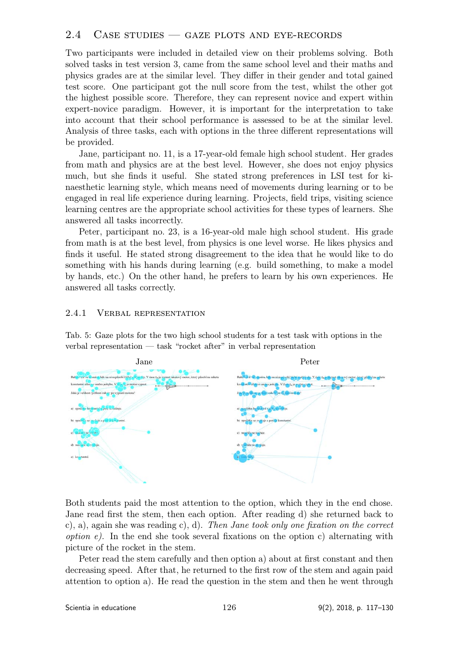#### $2.4$  CASE STUDIES  $-$  GAZE PLOTS AND EYE-RECORDS

Two participants were included in detailed view on their problems solving. Both solved tasks in test version 3, came from the same school level and their maths and physics grades are at the similar level. They differ in their gender and total gained test score. One participant got the null score from the test, whilst the other got the highest possible score. Therefore, they can represent novice and expert within expert-novice paradigm. However, it is important for the interpretation to take into account that their school performance is assessed to be at the similar level. Analysis of three tasks, each with options in the three different representations will be provided.

Jane, participant no. 11, is a 17-year-old female high school student. Her grades from math and physics are at the best level. However, she does not enjoy physics much, but she finds it useful. She stated strong preferences in LSI test for kinaesthetic learning style, which means need of movements during learning or to be engaged in real life experience during learning. Projects, field trips, visiting science learning centres are the appropriate school activities for these types of learners. She answered all tasks incorrectly.

Peter, participant no. 23, is a 16-year-old male high school student. His grade from math is at the best level, from physics is one level worse. He likes physics and finds it useful. He stated strong disagreement to the idea that he would like to do something with his hands during learning (e.g. build something, to make a model by hands, etc.) On the other hand, he prefers to learn by his own experiences. He answered all tasks correctly.

#### 2.4.1 Verbal representation

Tab. 5: Gaze plots for the two high school students for a test task with options in the verbal representation — task "rocket after" in verbal representation



Both students paid the most attention to the option, which they in the end chose. Jane read first the stem, then each option. After reading d) she returned back to c), a), again she was reading c), d). Then Jane took only one fixation on the correct *option e)*. In the end she took several fixations on the option c) alternating with picture of the rocket in the stem.

Peter read the stem carefully and then option a) about at first constant and then decreasing speed. After that, he returned to the first row of the stem and again paid attention to option a). He read the question in the stem and then he went through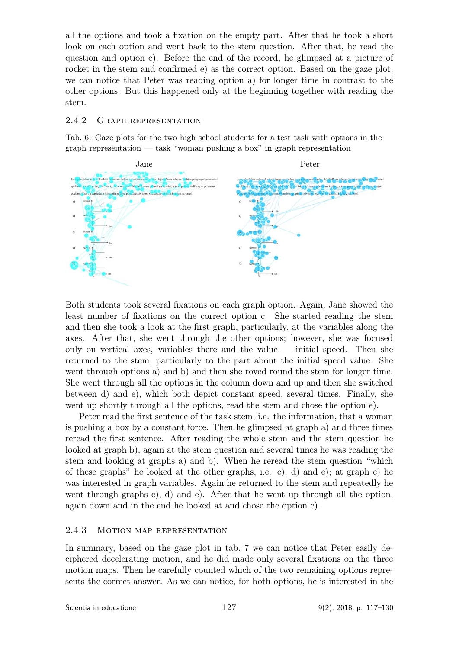all the options and took a fixation on the empty part. After that he took a short look on each option and went back to the stem question. After that, he read the question and option e). Before the end of the record, he glimpsed at a picture of rocket in the stem and confirmed e) as the correct option. Based on the gaze plot, we can notice that Peter was reading option a) for longer time in contrast to the other options. But this happened only at the beginning together with reading the stem.

#### 2.4.2 Graph representation

Tab. 6: Gaze plots for the two high school students for a test task with options in the graph representation — task "woman pushing a box" in graph representation



Both students took several fixations on each graph option. Again, Jane showed the least number of fixations on the correct option c. She started reading the stem and then she took a look at the first graph, particularly, at the variables along the axes. After that, she went through the other options; however, she was focused only on vertical axes, variables there and the value  $-$  initial speed. Then she returned to the stem, particularly to the part about the initial speed value. She went through options a) and b) and then she roved round the stem for longer time. She went through all the options in the column down and up and then she switched between d) and e), which both depict constant speed, several times. Finally, she went up shortly through all the options, read the stem and chose the option e).

Peter read the first sentence of the task stem, i.e. the information, that a woman is pushing a box by a constant force. Then he glimpsed at graph a) and three times reread the first sentence. After reading the whole stem and the stem question he looked at graph b), again at the stem question and several times he was reading the stem and looking at graphs a) and b). When he reread the stem question "which of these graphs" he looked at the other graphs, i.e. c), d) and e); at graph c) he was interested in graph variables. Again he returned to the stem and repeatedly he went through graphs c), d) and e). After that he went up through all the option, again down and in the end he looked at and chose the option c).

#### 2.4.3 MOTION MAP REPRESENTATION

In summary, based on the gaze plot in tab. 7 we can notice that Peter easily deciphered decelerating motion, and he did made only several fixations on the three motion maps. Then he carefully counted which of the two remaining options represents the correct answer. As we can notice, for both options, he is interested in the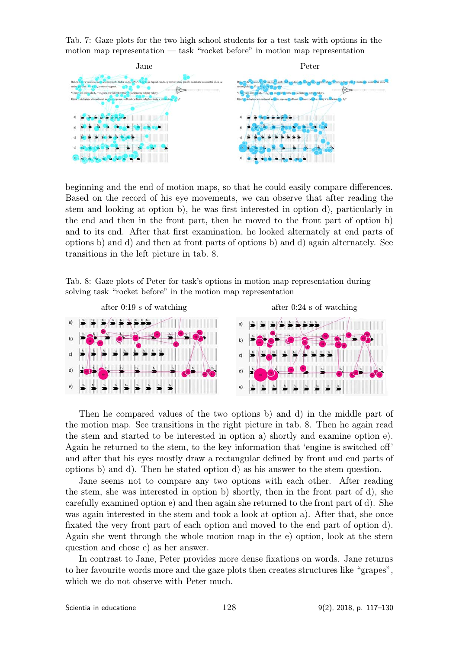Tab. 7: Gaze plots for the two high school students for a test task with options in the motion map representation — task "rocket before" in motion map representation



beginning and the end of motion maps, so that he could easily compare differences. Based on the record of his eye movements, we can observe that after reading the stem and looking at option b), he was first interested in option d), particularly in the end and then in the front part, then he moved to the front part of option b) and to its end. After that first examination, he looked alternately at end parts of options b) and d) and then at front parts of options b) and d) again alternately. See transitions in the left picture in tab. 8.

Tab. 8: Gaze plots of Peter for task's options in motion map representation during solving task "rocket before" in the motion map representation



Then he compared values of the two options b) and d) in the middle part of the motion map. See transitions in the right picture in tab. 8. Then he again read the stem and started to be interested in option a) shortly and examine option e). Again he returned to the stem, to the key information that 'engine is switched off' and after that his eyes mostly draw a rectangular defined by front and end parts of options b) and d). Then he stated option d) as his answer to the stem question.

Jane seems not to compare any two options with each other. After reading the stem, she was interested in option b) shortly, then in the front part of d), she carefully examined option e) and then again she returned to the front part of d). She was again interested in the stem and took a look at option a). After that, she once fixated the very front part of each option and moved to the end part of option d). Again she went through the whole motion map in the e) option, look at the stem question and chose e) as her answer.

In contrast to Jane, Peter provides more dense fixations on words. Jane returns to her favourite words more and the gaze plots then creates structures like "grapes", which we do not observe with Peter much.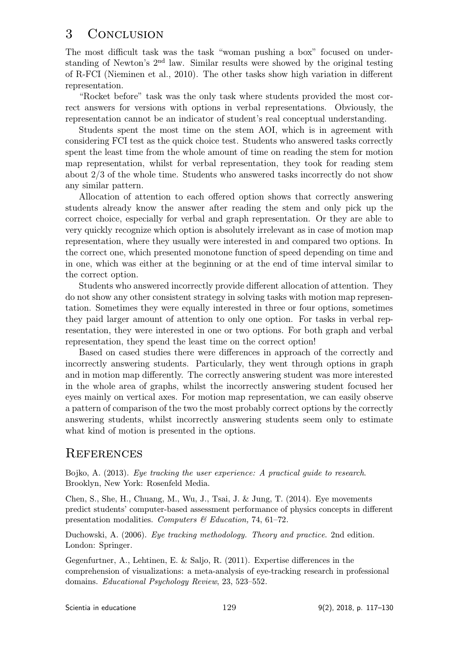# 3 Conclusion

The most difficult task was the task "woman pushing a box" focused on understanding of Newton's  $2<sup>nd</sup>$  law. Similar results were showed by the original testing of R-FCI (Nieminen et al., 2010). The other tasks show high variation in different representation.

"Rocket before" task was the only task where students provided the most correct answers for versions with options in verbal representations. Obviously, the representation cannot be an indicator of student's real conceptual understanding.

Students spent the most time on the stem AOI, which is in agreement with considering FCI test as the quick choice test. Students who answered tasks correctly spent the least time from the whole amount of time on reading the stem for motion map representation, whilst for verbal representation, they took for reading stem about 2/3 of the whole time. Students who answered tasks incorrectly do not show any similar pattern.

Allocation of attention to each offered option shows that correctly answering students already know the answer after reading the stem and only pick up the correct choice, especially for verbal and graph representation. Or they are able to very quickly recognize which option is absolutely irrelevant as in case of motion map representation, where they usually were interested in and compared two options. In the correct one, which presented monotone function of speed depending on time and in one, which was either at the beginning or at the end of time interval similar to the correct option.

Students who answered incorrectly provide different allocation of attention. They do not show any other consistent strategy in solving tasks with motion map representation. Sometimes they were equally interested in three or four options, sometimes they paid larger amount of attention to only one option. For tasks in verbal representation, they were interested in one or two options. For both graph and verbal representation, they spend the least time on the correct option!

Based on cased studies there were differences in approach of the correctly and incorrectly answering students. Particularly, they went through options in graph and in motion map differently. The correctly answering student was more interested in the whole area of graphs, whilst the incorrectly answering student focused her eyes mainly on vertical axes. For motion map representation, we can easily observe a pattern of comparison of the two the most probably correct options by the correctly answering students, whilst incorrectly answering students seem only to estimate what kind of motion is presented in the options.

# **REFERENCES**

Bojko, A. (2013). Eye tracking the user experience: A practical guide to research. Brooklyn, New York: Rosenfeld Media.

Chen, S., She, H., Chuang, M., Wu, J., Tsai, J. & Jung, T. (2014). Eye movements predict students' computer-based assessment performance of physics concepts in different presentation modalities. Computers & Education, 74, 61–72.

Duchowski, A. (2006). Eye tracking methodology. Theory and practice. 2nd edition. London: Springer.

Gegenfurtner, A., Lehtinen, E. & Saljo, R. (2011). Expertise differences in the comprehension of visualizations: a meta-analysis of eye-tracking research in professional domains. Educational Psychology Review, 23, 523–552.